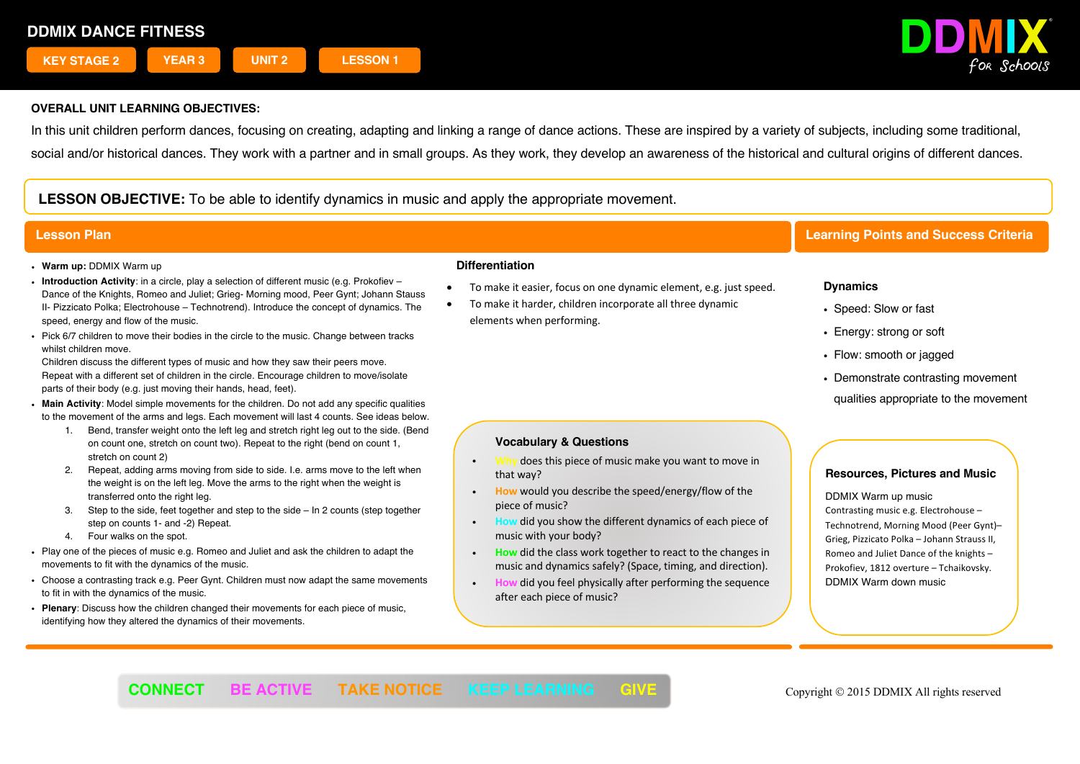

In this unit children perform dances, focusing on creating, adapting and linking a range of dance actions. These are inspired by a variety of subjects, including some traditional, social and/or historical dances. They work with a partner and in small groups. As they work, they develop an awareness of the historical and cultural origins of different dances.

**LESSON OBJECTIVE:** To be able to identify dynamics in music and apply the appropriate movement.

- ! **Warm up:** DDMIX Warm up
- ! **Introduction Activity**: in a circle, play a selection of different music (e.g. Prokofiev Dance of the Knights, Romeo and Juliet; Grieg- Morning mood, Peer Gynt; Johann Stauss II- Pizzicato Polka; Electrohouse – Technotrend). Introduce the concept of dynamics. The speed, energy and flow of the music.
- ! Pick 6/7 children to move their bodies in the circle to the music. Change between tracks whilst children move.

Children discuss the different types of music and how they saw their peers move. Repeat with a different set of children in the circle. Encourage children to move/isolate parts of their body (e.g. just moving their hands, head, feet).

- ! **Main Activity**: Model simple movements for the children. Do not add any specific qualities to the movement of the arms and legs. Each movement will last 4 counts. See ideas below.
	- 1. Bend, transfer weight onto the left leg and stretch right leg out to the side. (Bend on count one, stretch on count two). Repeat to the right (bend on count 1, stretch on count 2)
	- 2. Repeat, adding arms moving from side to side. I.e. arms move to the left when the weight is on the left leg. Move the arms to the right when the weight is transferred onto the right leg.
	- 3. Step to the side, feet together and step to the side In 2 counts (step together step on counts 1- and -2) Repeat.
	- 4. Four walks on the spot.
- ! Play one of the pieces of music e.g. Romeo and Juliet and ask the children to adapt the movements to fit with the dynamics of the music.
- . Choose a contrasting track e.g. Peer Gynt. Children must now adapt the same movements to fit in with the dynamics of the music.
- ! **Plenary**: Discuss how the children changed their movements for each piece of music, identifying how they altered the dynamics of their movements.

#### **Differentiation**

- To make it easier, focus on one dynamic element, e.g. just speed.
- To make it harder, children incorporate all three dynamic elements when performing.

# **Lesson Plan Learning Points and Success Criteria**

# **Dynamics**

- Speed: Slow or fast
- Energy: strong or soft
- Flow: smooth or jagged
- Demonstrate contrasting movement
- qualities appropriate to the movement

# **Vocabulary & Questions**

- does this piece of music make you want to move in that way?
- ! **How** would you describe the speed/energy/flow of the piece of music?
- ! **How** did you show the different dynamics of each piece of music with your body?
- ! **How** did the class work together to react to the changes in music and dynamics safely? (Space, timing, and direction).
- did you feel physically after performing the sequence after each piece of music?

# **Resources, Pictures and Music**

! DDMIX Warm up music Contrasting music e.g. Electrohouse – Technotrend, Morning Mood (Peer Gynt)– Grieg, Pizzicato Polka – Johann Strauss II, Romeo and Juliet Dance of the knights – Prokofiev, 1812 overture – Tchaikovsky. DDMIX Warm down music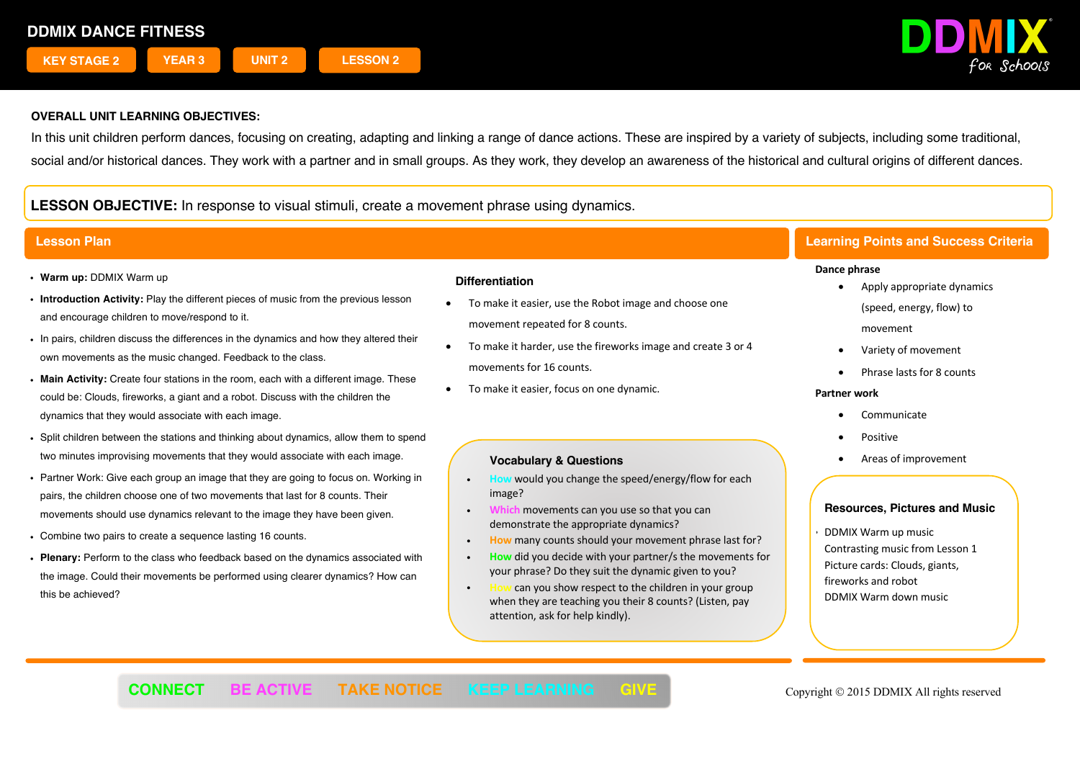

In this unit children perform dances, focusing on creating, adapting and linking a range of dance actions. These are inspired by a variety of subjects, including some traditional, social and/or historical dances. They work with a partner and in small groups. As they work, they develop an awareness of the historical and cultural origins of different dances.

**LESSON OBJECTIVE:** In response to visual stimuli, create a movement phrase using dynamics.

- ! **Warm up:** DDMIX Warm up
- ! **Introduction Activity:** Play the different pieces of music from the previous lesson and encourage children to move/respond to it.
- . In pairs, children discuss the differences in the dynamics and how they altered their own movements as the music changed. Feedback to the class.
- ! **Main Activity:** Create four stations in the room, each with a different image. These could be: Clouds, fireworks, a giant and a robot. Discuss with the children the dynamics that they would associate with each image.
- ! Split children between the stations and thinking about dynamics, allow them to spend two minutes improvising movements that they would associate with each image.
- ! Partner Work: Give each group an image that they are going to focus on. Working in pairs, the children choose one of two movements that last for 8 counts. Their movements should use dynamics relevant to the image they have been given.
- ! Combine two pairs to create a sequence lasting 16 counts.
- ! **Plenary:** Perform to the class who feedback based on the dynamics associated with the image. Could their movements be performed using clearer dynamics? How can this be achieved?

## **Differentiation**

- To make it easier, use the Robot image and choose one movement repeated for 8 counts.
- To make it harder, use the fireworks image and create 3 or 4 movements for 16 counts.
- To make it easier, focus on one dynamic.

### **Vocabulary & Questions**

- ! **How** would you change the speed/energy/flow for each image?
- ! **Which** movements can you use so that you can demonstrate the appropriate dynamics?
- ! **How** many counts should your movement phrase last for?
- ! **How** did you decide with your partner/s the movements for your phrase? Do they suit the dynamic given to you?
- ! **How** can you show respect to the children in your group when they are teaching you their 8 counts? (Listen, pay attention, ask for help kindly).

# **Lesson Plan Learning Points and Success Criteria**

#### **Dance phrase**

- Apply appropriate dynamics (speed, energy, flow) to movement
- Variety of movement
- Phrase lasts for 8 counts

#### **Partner work**

- **Communicate**
- Positive
- Areas of improvement

#### **Resources, Pictures and Music**

! DDMIX Warm up music Contrasting music from Lesson 1 Picture cards: Clouds, giants, fireworks and robot DDMIX Warm down music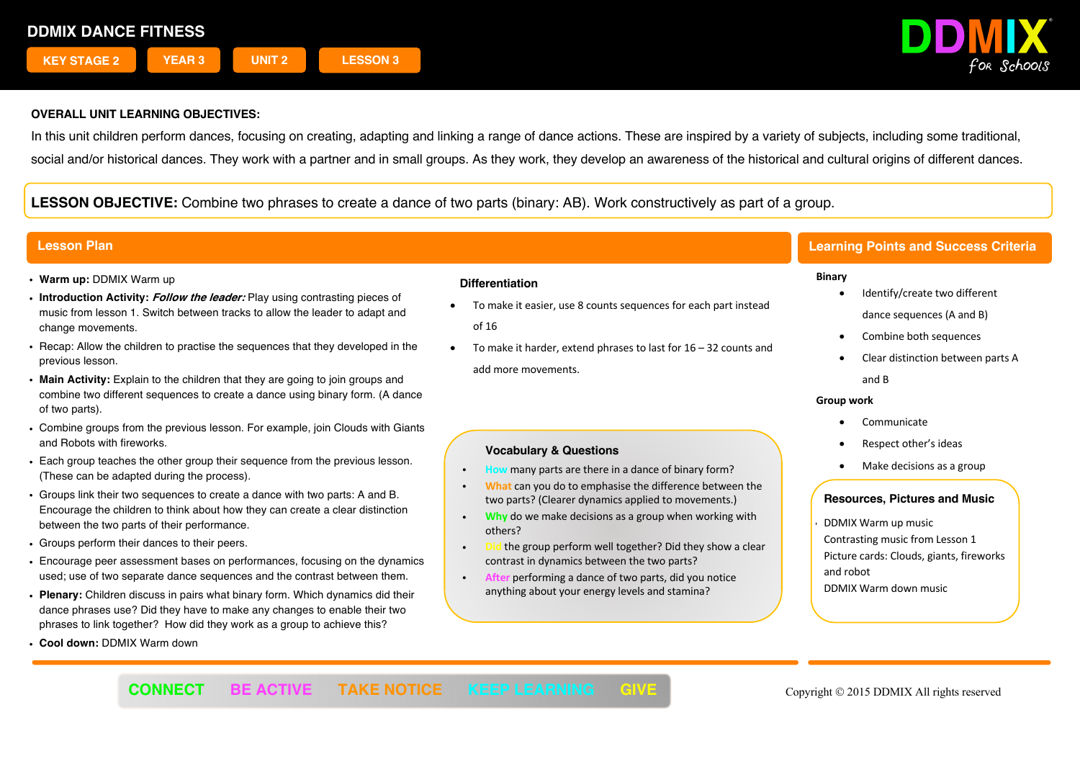

In this unit children perform dances, focusing on creating, adapting and linking a range of dance actions. These are inspired by a variety of subjects, including some traditional, social and/or historical dances. They work with a partner and in small groups. As they work, they develop an awareness of the historical and cultural origins of different dances.

**LESSON OBJECTIVE:** Combine two phrases to create a dance of two parts (binary: AB). Work constructively as part of a group.

- ! **Warm up:** DDMIX Warm up
- ! **Introduction Activity: Follow the leader:** Play using contrasting pieces of music from lesson 1. Switch between tracks to allow the leader to adapt and change movements.
- ! Recap: Allow the children to practise the sequences that they developed in the previous lesson.
- ! **Main Activity:** Explain to the children that they are going to join groups and combine two different sequences to create a dance using binary form. (A dance of two parts).
- ! Combine groups from the previous lesson. For example, join Clouds with Giants and Robots with fireworks.
- ! Each group teaches the other group their sequence from the previous lesson. (These can be adapted during the process).
- ! Groups link their two sequences to create a dance with two parts: A and B. Encourage the children to think about how they can create a clear distinction between the two parts of their performance.
- ! Groups perform their dances to their peers.
- ! Encourage peer assessment bases on performances, focusing on the dynamics used; use of two separate dance sequences and the contrast between them.
- ! **Plenary:** Children discuss in pairs what binary form. Which dynamics did their dance phrases use? Did they have to make any changes to enable their two phrases to link together? How did they work as a group to achieve this?
- ! **Cool down:** DDMIX Warm down

## **Differentiation**

- To make it easier, use 8 counts sequences for each part instead of 16
- To make it harder, extend phrases to last for 16 32 counts and add more movements.

# **Vocabulary & Questions**

- **How** many parts are there in a dance of binary form?
- ! **What** can you do to emphasise the difference between the two parts? (Clearer dynamics applied to movements.)
- **Why** do we make decisions as a group when working with others?
- the group perform well together? Did they show a clear contrast in dynamics between the two parts?
- After performing a dance of two parts, did you notice anything about your energy levels and stamina?

# **Lesson Plan Learning Points and Success Criteria**

## **Binary**

- Identify/create two different dance sequences (A and B)
- Combine both sequences
- Clear distinction between parts A and B

### **Group work**

- **Communicate**
- Respect other's ideas
- Make decisions as a group

# **Resources, Pictures and Music**

! DDMIX Warm up music Contrasting music from Lesson 1 Picture cards: Clouds, giants, fireworks and robot DDMIX Warm down music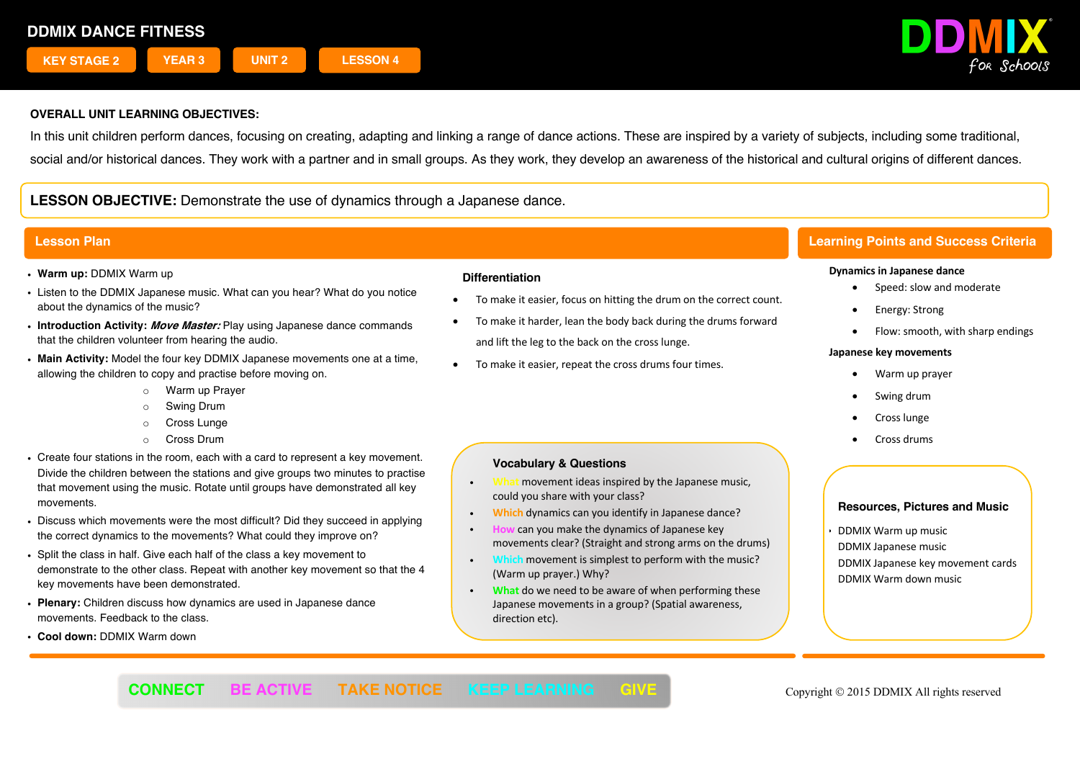

In this unit children perform dances, focusing on creating, adapting and linking a range of dance actions. These are inspired by a variety of subjects, including some traditional, social and/or historical dances. They work with a partner and in small groups. As they work, they develop an awareness of the historical and cultural origins of different dances.

**LESSON OBJECTIVE:** Demonstrate the use of dynamics through a Japanese dance.

- ! **Warm up:** DDMIX Warm up
- . Listen to the DDMIX Japanese music. What can you hear? What do you notice about the dynamics of the music?
- ! **Introduction Activity: Move Master:** Play using Japanese dance commands that the children volunteer from hearing the audio.
- ! **Main Activity:** Model the four key DDMIX Japanese movements one at a time, allowing the children to copy and practise before moving on.
	- o Warm up Prayer
	- o Swing Drum
	- o Cross Lunge
	- o Cross Drum
- ! Create four stations in the room, each with a card to represent a key movement. Divide the children between the stations and give groups two minutes to practise that movement using the music. Rotate until groups have demonstrated all key movements.
- . Discuss which movements were the most difficult? Did they succeed in applying the correct dynamics to the movements? What could they improve on?
- ! Split the class in half. Give each half of the class a key movement to demonstrate to the other class. Repeat with another key movement so that the 4 key movements have been demonstrated.
- ! **Plenary:** Children discuss how dynamics are used in Japanese dance movements. Feedback to the class.
- ! **Cool down:** DDMIX Warm down

#### **Differentiation**

- To make it easier, focus on hitting the drum on the correct count.
- To make it harder, lean the body back during the drums forward and lift the leg to the back on the cross lunge.
- To make it easier, repeat the cross drums four times.

# **Vocabulary & Questions**

- movement ideas inspired by the Japanese music, could you share with your class?
- ! **Which** dynamics can you identify in Japanese dance?
- can you make the dynamics of Japanese key movements clear? (Straight and strong arms on the drums)
- **n** movement is simplest to perform with the music? (Warm up prayer.) Why?
- ! **What** do we need to be aware of when performing these Japanese movements in a group? (Spatial awareness, direction etc).

# **Lesson Plan Learning Points and Success Criteria**

### **Dynamics in Japanese dance**

- Speed: slow and moderate
- Energy: Strong
- Flow: smooth, with sharp endings

### **Japanese key movements**

- Warm up prayer
- Swing drum
- Cross lunge
- Cross drums

# **Resources, Pictures and Music**

! DDMIX Warm up music DDMIX Japanese music DDMIX Japanese key movement cards DDMIX Warm down music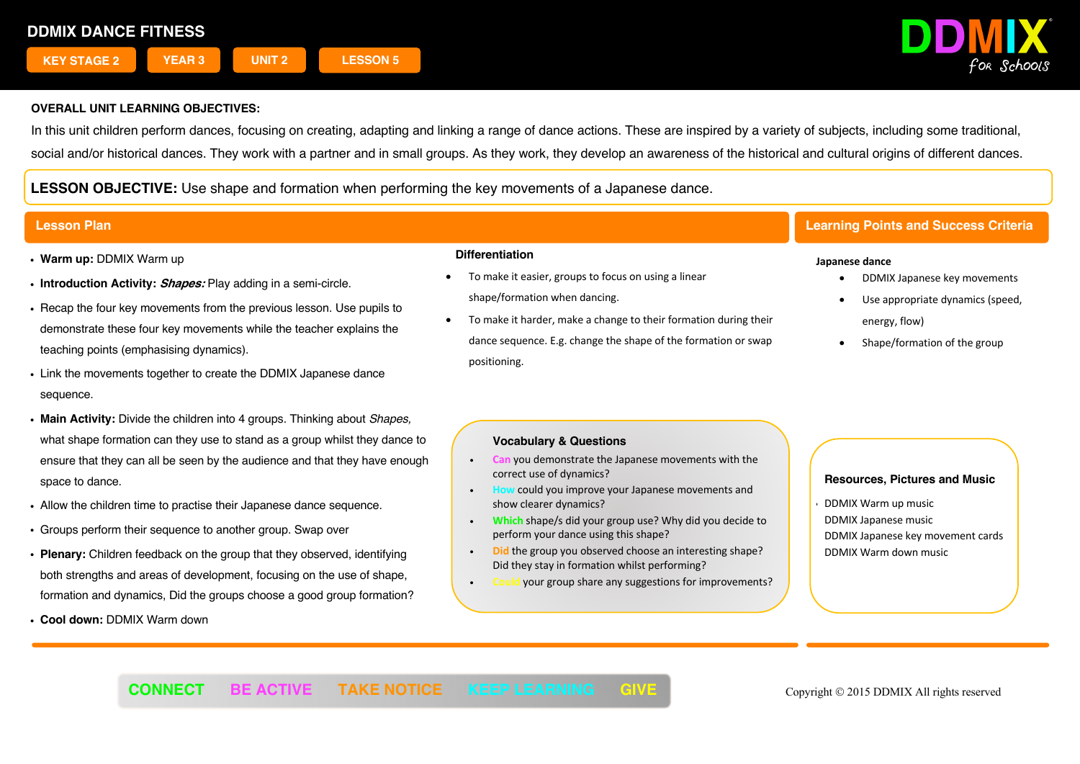

In this unit children perform dances, focusing on creating, adapting and linking a range of dance actions. These are inspired by a variety of subjects, including some traditional, social and/or historical dances. They work with a partner and in small groups. As they work, they develop an awareness of the historical and cultural origins of different dances.

**LESSON OBJECTIVE:** Use shape and formation when performing the key movements of a Japanese dance.

- ! **Warm up:** DDMIX Warm up
- ! **Introduction Activity: Shapes:** Play adding in a semi-circle.
- . Recap the four key movements from the previous lesson. Use pupils to demonstrate these four key movements while the teacher explains the teaching points (emphasising dynamics).
- . Link the movements together to create the DDMIX Japanese dance sequence.
- ! **Main Activity:** Divide the children into 4 groups. Thinking about *Shapes,* what shape formation can they use to stand as a group whilst they dance to ensure that they can all be seen by the audience and that they have enough space to dance.
- . Allow the children time to practise their Japanese dance sequence.
- ! Groups perform their sequence to another group. Swap over
- ! **Plenary:** Children feedback on the group that they observed, identifying both strengths and areas of development, focusing on the use of shape, formation and dynamics, Did the groups choose a good group formation?
- ! **Cool down:** DDMIX Warm down

### **Differentiation**

- To make it easier, groups to focus on using a linear shape/formation when dancing.
- To make it harder, make a change to their formation during their dance sequence. E.g. change the shape of the formation or swap positioning.

# **Lesson Plan Learning Points and Success Criteria**

#### **Japanese dance**

- DDMIX Japanese key movements
- Use appropriate dynamics (speed, energy, flow)
- Shape/formation of the group

# **Vocabulary & Questions**

- ! **Can** you demonstrate the Japanese movements with the correct use of dynamics?
- could you improve your Japanese movements and show clearer dynamics?
- ! **Which** shape/s did your group use? Why did you decide to perform your dance using this shape?
- ! **Did** the group you observed choose an interesting shape? Did they stay in formation whilst performing?
- ! **Could** your group share any suggestions for improvements?

## **Resources, Pictures and Music**

! DDMIX Warm up music DDMIX Japanese music DDMIX Japanese key movement cards DDMIX Warm down music